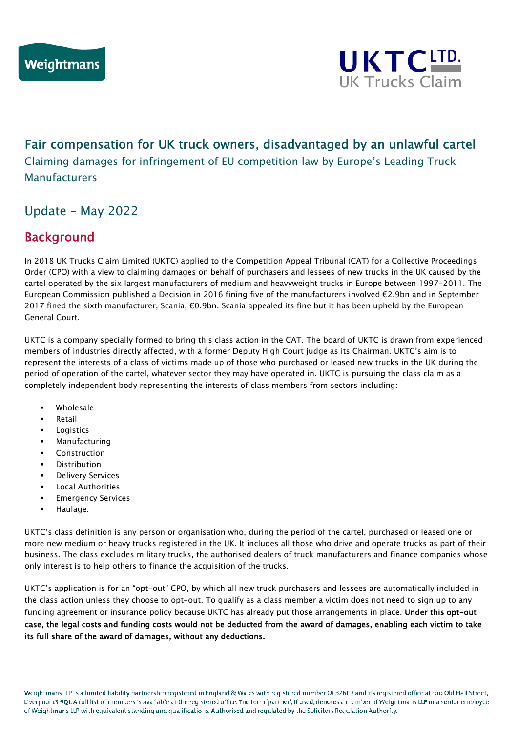

# Fair compensation for UK truck owners, disadvantaged by an unlawful cartel

Claiming damages for infringement of EU competition law by Europe's Leading Truck Manufacturers

## Update – May 2022

#### $\overline{a}$ Background

In 2018 UK Trucks Claim Limited (UKTC) applied to the Competition Appeal Tribunal (CAT) for a Collective Proceedings Order (CPO) with a view to claiming damages on behalf of purchasers and lessees of new trucks in the UK caused by the cartel operated by the six largest manufacturers of medium and heavyweight trucks in Europe between 1997-2011. The European Commission published a Decision in 2016 fining five of the manufacturers involved €2.9bn and in September 2017 fined the sixth manufacturer, Scania, €0.9bn. Scania appealed its fine but it has been upheld by the European General Court.

UKTC is a company specially formed to bring this class action in the CAT. The board of UKTC is drawn from experienced members of industries directly affected, with a former Deputy High Court judge as its Chairman. UKTC's aim is to represent the interests of a class of victims made up of those who purchased or leased new trucks in the UK during the period of operation of the cartel, whatever sector they may have operated in. UKTC is pursuing the class claim as a completely independent body representing the interests of class members from sectors including:

- Wholesale
- Retail
- Logistics
- Manufacturing
- Construction
- Distribution
- Delivery Services
- Local Authorities
- Emergency Services
- Haulage.

UKTC's class definition is any person or organisation who, during the period of the cartel, purchased or leased one or more new medium or heavy trucks registered in the UK. It includes all those who drive and operate trucks as part of their business. The class excludes military trucks, the authorised dealers of truck manufacturers and finance companies whose only interest is to help others to finance the acquisition of the trucks.

UKTC's application is for an "opt-out" CPO, by which all new truck purchasers and lessees are automatically included in the class action unless they choose to opt-out. To qualify as a class member a victim does not need to sign up to any funding agreement or insurance policy because UKTC has already put those arrangements in place. Under this opt-out case, the legal costs and funding costs would not be deducted from the award of damages, enabling each victim to take its full share of the award of damages, without any deductions.